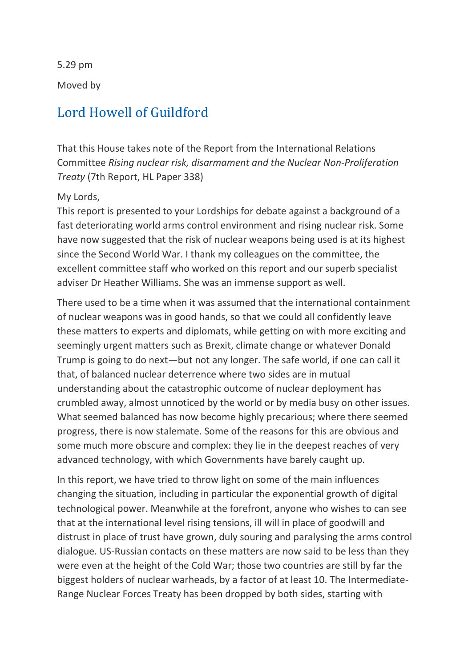5.29 pm

Moved by

### [Lord Howell of Guildford](https://hansard.parliament.uk/search/MemberContributions?house=Lords&memberId=993)

That this House takes note of the Report from the International Relations Committee *Rising nuclear risk, disarmament and the Nuclear Non-Proliferation Treaty* (7th Report, HL Paper 338)

### My Lords,

This report is presented to your Lordships for debate against a background of a fast deteriorating world arms control environment and rising nuclear risk. Some have now suggested that the risk of nuclear weapons being used is at its highest since the Second World War. I thank my colleagues on the committee, the excellent committee staff who worked on this report and our superb specialist adviser Dr Heather Williams. She was an immense support as well.

There used to be a time when it was assumed that the international containment of nuclear weapons was in good hands, so that we could all confidently leave these matters to experts and diplomats, while getting on with more exciting and seemingly urgent matters such as Brexit, climate change or whatever Donald Trump is going to do next—but not any longer. The safe world, if one can call it that, of balanced nuclear deterrence where two sides are in mutual understanding about the catastrophic outcome of nuclear deployment has crumbled away, almost unnoticed by the world or by media busy on other issues. What seemed balanced has now become highly precarious; where there seemed progress, there is now stalemate. Some of the reasons for this are obvious and some much more obscure and complex: they lie in the deepest reaches of very advanced technology, with which Governments have barely caught up.

In this report, we have tried to throw light on some of the main influences changing the situation, including in particular the exponential growth of digital technological power. Meanwhile at the forefront, anyone who wishes to can see that at the international level rising tensions, ill will in place of goodwill and distrust in place of trust have grown, duly souring and paralysing the arms control dialogue. US-Russian contacts on these matters are now said to be less than they were even at the height of the Cold War; those two countries are still by far the biggest holders of nuclear warheads, by a factor of at least 10. The Intermediate-Range Nuclear Forces Treaty has been dropped by both sides, starting with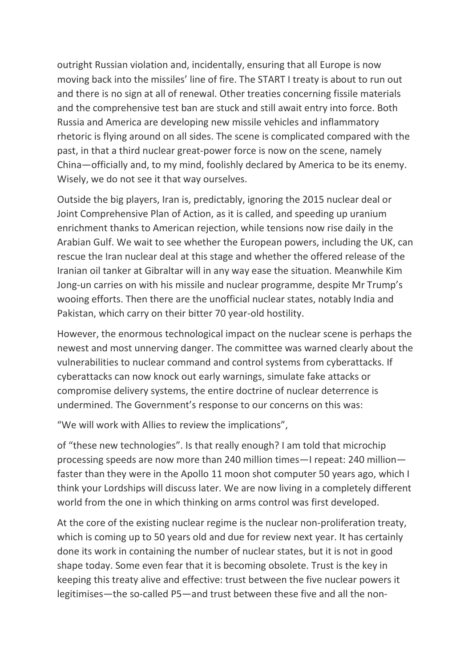outright Russian violation and, incidentally, ensuring that all Europe is now moving back into the missiles' line of fire. The START I treaty is about to run out and there is no sign at all of renewal. Other treaties concerning fissile materials and the comprehensive test ban are stuck and still await entry into force. Both Russia and America are developing new missile vehicles and inflammatory rhetoric is flying around on all sides. The scene is complicated compared with the past, in that a third nuclear great-power force is now on the scene, namely China—officially and, to my mind, foolishly declared by America to be its enemy. Wisely, we do not see it that way ourselves.

Outside the big players, Iran is, predictably, ignoring the 2015 nuclear deal or Joint Comprehensive Plan of Action, as it is called, and speeding up uranium enrichment thanks to American rejection, while tensions now rise daily in the Arabian Gulf. We wait to see whether the European powers, including the UK, can rescue the Iran nuclear deal at this stage and whether the offered release of the Iranian oil tanker at Gibraltar will in any way ease the situation. Meanwhile Kim Jong-un carries on with his missile and nuclear programme, despite Mr Trump's wooing efforts. Then there are the unofficial nuclear states, notably India and Pakistan, which carry on their bitter 70 year-old hostility.

However, the enormous technological impact on the nuclear scene is perhaps the newest and most unnerving danger. The committee was warned clearly about the vulnerabilities to nuclear command and control systems from cyberattacks. If cyberattacks can now knock out early warnings, simulate fake attacks or compromise delivery systems, the entire doctrine of nuclear deterrence is undermined. The Government's response to our concerns on this was:

"We will work with Allies to review the implications",

of "these new technologies". Is that really enough? I am told that microchip processing speeds are now more than 240 million times—I repeat: 240 million faster than they were in the Apollo 11 moon shot computer 50 years ago, which I think your Lordships will discuss later. We are now living in a completely different world from the one in which thinking on arms control was first developed.

At the core of the existing nuclear regime is the nuclear non-proliferation treaty, which is coming up to 50 years old and due for review next year. It has certainly done its work in containing the number of nuclear states, but it is not in good shape today. Some even fear that it is becoming obsolete. Trust is the key in keeping this treaty alive and effective: trust between the five nuclear powers it legitimises—the so-called P5—and trust between these five and all the non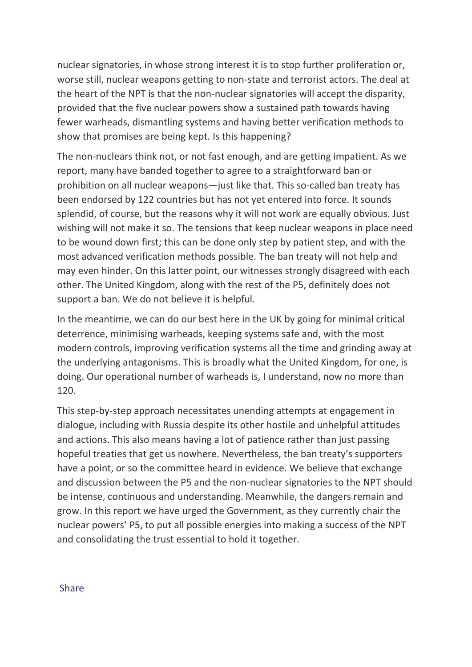nuclear signatories, in whose strong interest it is to stop further proliferation or, worse still, nuclear weapons getting to non-state and terrorist actors. The deal at the heart of the NPT is that the non-nuclear signatories will accept the disparity, provided that the five nuclear powers show a sustained path towards having fewer warheads, dismantling systems and having better verification methods to show that promises are being kept. Is this happening?

The non-nuclears think not, or not fast enough, and are getting impatient. As we report, many have banded together to agree to a straightforward ban or prohibition on all nuclear weapons—just like that. This so-called ban treaty has been endorsed by 122 countries but has not yet entered into force. It sounds splendid, of course, but the reasons why it will not work are equally obvious. Just wishing will not make it so. The tensions that keep nuclear weapons in place need to be wound down first; this can be done only step by patient step, and with the most advanced verification methods possible. The ban treaty will not help and may even hinder. On this latter point, our witnesses strongly disagreed with each other. The United Kingdom, along with the rest of the P5, definitely does not support a ban. We do not believe it is helpful.

In the meantime, we can do our best here in the UK by going for minimal critical deterrence, minimising warheads, keeping systems safe and, with the most modern controls, improving verification systems all the time and grinding away at the underlying antagonisms. This is broadly what the United Kingdom, for one, is doing. Our operational number of warheads is, I understand, now no more than 120.

This step-by-step approach necessitates unending attempts at engagement in dialogue, including with Russia despite its other hostile and unhelpful attitudes and actions. This also means having a lot of patience rather than just passing hopeful treaties that get us nowhere. Nevertheless, the ban treaty's supporters have a point, or so the committee heard in evidence. We believe that exchange and discussion between the P5 and the non-nuclear signatories to the NPT should be intense, continuous and understanding. Meanwhile, the dangers remain and grow. In this report we have urged the Government, as they currently chair the nuclear powers' P5, to put all possible energies into making a success of the NPT and consolidating the trust essential to hold it together.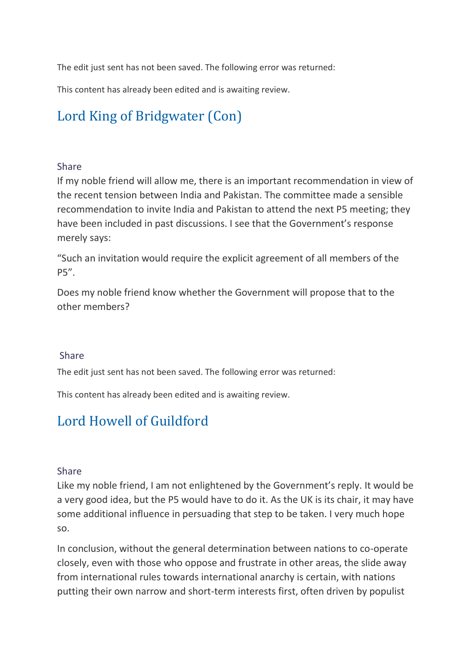The edit just sent has not been saved. The following error was returned:

This content has already been edited and is awaiting review.

# [Lord King of Bridgwater \(Con\)](https://hansard.parliament.uk/search/MemberContributions?house=Lords&memberId=254)

#### [Share](https://hansard.parliament.uk/Lords/2019-07-16/debates/EED0083E-F2B2-4F06-A387-16567CC9646D/NuclearWeapons(InternationalRelationsCommitteeReport)#contribution-EDD9E707-CFE7-4AE2-B102-39639CF76C7E)

If my noble friend will allow me, there is an important recommendation in view of the recent tension between India and Pakistan. The committee made a sensible recommendation to invite India and Pakistan to attend the next P5 meeting; they have been included in past discussions. I see that the Government's response merely says:

"Such an invitation would require the explicit agreement of all members of the P5".

Does my noble friend know whether the Government will propose that to the other members?

#### [Share](https://hansard.parliament.uk/Lords/2019-07-16/debates/EED0083E-F2B2-4F06-A387-16567CC9646D/NuclearWeapons(InternationalRelationsCommitteeReport)#contribution-EDD9E707-CFE7-4AE2-B102-39639CF76C7E)

The edit just sent has not been saved. The following error was returned:

This content has already been edited and is awaiting review.

## [Lord Howell of Guildford](https://hansard.parliament.uk/search/MemberContributions?house=Lords&memberId=993)

#### [Share](https://hansard.parliament.uk/Lords/2019-07-16/debates/EED0083E-F2B2-4F06-A387-16567CC9646D/NuclearWeapons(InternationalRelationsCommitteeReport)#contribution-4B7096C3-37F4-40F2-970F-B9282A4F06AA)

Like my noble friend, I am not enlightened by the Government's reply. It would be a very good idea, but the P5 would have to do it. As the UK is its chair, it may have some additional influence in persuading that step to be taken. I very much hope so.

In conclusion, without the general determination between nations to co-operate closely, even with those who oppose and frustrate in other areas, the slide away from international rules towards international anarchy is certain, with nations putting their own narrow and short-term interests first, often driven by populist